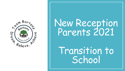

# New Reception Parents 2021

Transition to School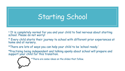## Starting School

- \* It is completely normal for you and your child to feel nervous about starting school. Please do not worry!
- \* Every child starts their journey to school with different prior experiences at home and at nursery.
- \*There are lots of ways you can help your child to be 'school ready.'
- \*Practising being independent and talking openly about school will prepare and support your child for this transition.

\*There are some ideas on the slides that follow.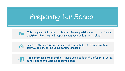## Preparing for School



**Talk to your child about school –** discuss positively all of the fun and exciting things that will happen when your child starts school



**Practise the routine of school - it can be helpful to do a practise** journey to school (including getting dressed)



**Read starting school books –** there are also lots of different starting school books available as bedtime reads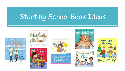## Starting School Book Ideas













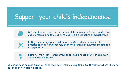#### Support your child's independence



**Getting dressed –** practise with your child doing up coats, getting dressed and undressed into school uniform and PE kit and putting on school shoes



**Eating –** encourage your child to use a knife, fork and spoon and to practise opening items that may be in their lunch box e.g. yoghurt pots and crisp packets

**Going to the toilet –** ensure your child is able to use the toilet and wash their hands afterwards

It is important to make sure your child feels comfortable doing simple tasks themselves and knows to ask an adult for help if needed.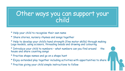#### Other ways you can support your child

- \* Help your child to recognise their own name
- \* Share stories, nursery rhymes and songs together
- \* Help to develop your child's hand strength (fine motor skills) through making Lego models, using scissors, threading beads and drawing and colouring

\* Introduce your child to numbers – what numbers can you find around the house and share counting songs

- \* Practise shape names and go on a shape hunt
- \* Enjoy extended play together including activities with opportunities to share
- \* Practise giving your child simple instructions to follow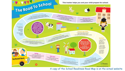

A copy of the School Readiness Road Map is on the school website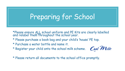## Preparing for School

\*Please ensure ALL school uniform and PE Kits are clearly labelled and relabel them throughout the school year.

- \* Please purchase a book bag and your child's 'house' PE top.
- \* Purchase a water bottle and name it.
- \* Register your child onto the school milk scheme.



\* Please return all documents to the school office promptly.